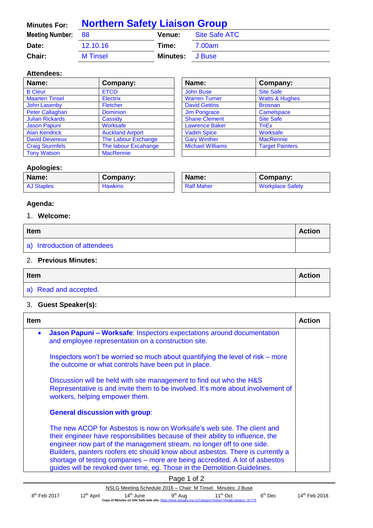| <b>Minutes For:</b>    | <b>Northern Safety Liaison Group</b> |          |               |
|------------------------|--------------------------------------|----------|---------------|
| <b>Meeting Number:</b> | - 88                                 | Venue:   | Site Safe ATC |
| Date:                  | 12.10.16                             | Time:    | 7.00am        |
| Chair:                 | <b>M</b> Tinsel                      | Minutes: | <b>J</b> Buse |

#### **Attendees:**

| Name:                  | Company:                | Name:                   | Company:                  |
|------------------------|-------------------------|-------------------------|---------------------------|
| <b>B</b> Cleur         | <b>ETCO</b>             | <b>John Buse</b>        | <b>Site Safe</b>          |
| <b>Maarten Tinsel</b>  | <b>Electrix</b>         | <b>Warren Turner</b>    | <b>Watts &amp; Hughes</b> |
| <b>John Lasenby</b>    | <b>Fletcher</b>         | <b>David Gettins</b>    | <b>Brosnan</b>            |
| <b>Peter Callaghan</b> | <b>Dominion</b>         | <b>Jim Pongrace</b>     | Camelspace                |
| <b>Julian Rickards</b> | Cassidy                 | <b>Shane Clement</b>    | <b>Site Safe</b>          |
| <b>Jason Papuni</b>    | Worksafe                | <b>Lawrence Baker</b>   | <b>TriEx</b>              |
| <b>Alan Kendrick</b>   | <b>Auckland Airport</b> | <b>Vadim Spice</b>      | Worksafe                  |
| <b>David Devereux</b>  | The Labour Exchange     | <b>Gary Winther</b>     | <b>MacRennie</b>          |
| <b>Craig Sturmfels</b> | The labour Excahange    | <b>Michael Williams</b> | <b>Target Painters</b>    |
| <b>Tony Watson</b>     | <b>MacRennie</b>        |                         |                           |

| Name:                   | Company:                  |
|-------------------------|---------------------------|
| <b>John Buse</b>        | <b>Site Safe</b>          |
| <b>Warren Turner</b>    | <b>Watts &amp; Hughes</b> |
| <b>David Gettins</b>    | <b>Brosnan</b>            |
| <b>Jim Pongrace</b>     | <b>Camelspace</b>         |
| <b>Shane Clement</b>    | <b>Site Safe</b>          |
| <b>Lawrence Baker</b>   | <b>TriEx</b>              |
| <b>Vadim Spice</b>      | <b>Worksafe</b>           |
| <b>Gary Winther</b>     | <b>MacRennie</b>          |
| <b>Michael Williams</b> | <b>Target Painters</b>    |
|                         |                           |

#### **Apologies:**

| Name:             | Company:       | Name:             | Company:                |
|-------------------|----------------|-------------------|-------------------------|
| <b>AJ Staples</b> | <b>Hawkins</b> | <b>Ralf Maher</b> | <b>Workplace Safety</b> |

## **Agenda:**

#### 1. **Welcome:**

| <b>Item</b>                  |  |
|------------------------------|--|
| a) Introduction of attendees |  |

### 2. **Previous Minutes:**

| Item                  |  |
|-----------------------|--|
| a) Read and accepted. |  |

## 3. **Guest Speaker(s):**

| <b>Item</b> |                                                                                                                                                                                                                                                                                                                                                                                                                                                                                      | <b>Action</b> |
|-------------|--------------------------------------------------------------------------------------------------------------------------------------------------------------------------------------------------------------------------------------------------------------------------------------------------------------------------------------------------------------------------------------------------------------------------------------------------------------------------------------|---------------|
| $\bullet$   | Jason Papuni - Worksafe: Inspectors expectations around documentation<br>and employee representation on a construction site.                                                                                                                                                                                                                                                                                                                                                         |               |
|             | Inspectors won't be worried so much about quantifying the level of risk – more<br>the outcome or what controls have been put in place.                                                                                                                                                                                                                                                                                                                                               |               |
|             | Discussion will be held with site management to find out who the H&S<br>Representative is and invite them to be involved. It's more about involvement of<br>workers, helping empower them.                                                                                                                                                                                                                                                                                           |               |
|             | <b>General discussion with group:</b>                                                                                                                                                                                                                                                                                                                                                                                                                                                |               |
|             | The new ACOP for Asbestos is now on Worksafe's web site. The client and<br>their engineer have responsibilities because of their ability to influence, the<br>engineer now part of the management stream, no longer off to one side.<br>Builders, painters roofers etc should know about asbestos. There is currently a<br>shortage of testing companies – more are being accredited. A lot of asbestos<br>guides will be revoked over time, eg. Those in the Demolition Guidelines. |               |
|             | $P2$ ne 1 of 2                                                                                                                                                                                                                                                                                                                                                                                                                                                                       |               |

| <b>AUGIOL</b>  |                        |                       |                     |                                                                                                                       |           |                           |
|----------------|------------------------|-----------------------|---------------------|-----------------------------------------------------------------------------------------------------------------------|-----------|---------------------------|
|                |                        |                       |                     | NSLG Meeting Schedule 2016 – Chair: M Tinsel. Minutes: J Buse                                                         |           |                           |
| $8th$ Feb 2017 | 12 <sup>th</sup> April | 14 <sup>th</sup> June | 9 <sup>th</sup> Aug | $11th$ Oct<br>Copy of Minutes on Site Safe web site: https://www.sitesafe.org.nz/Category?Action=View&Category id=775 | $6th$ Dec | 14 <sup>th</sup> Feb 2018 |